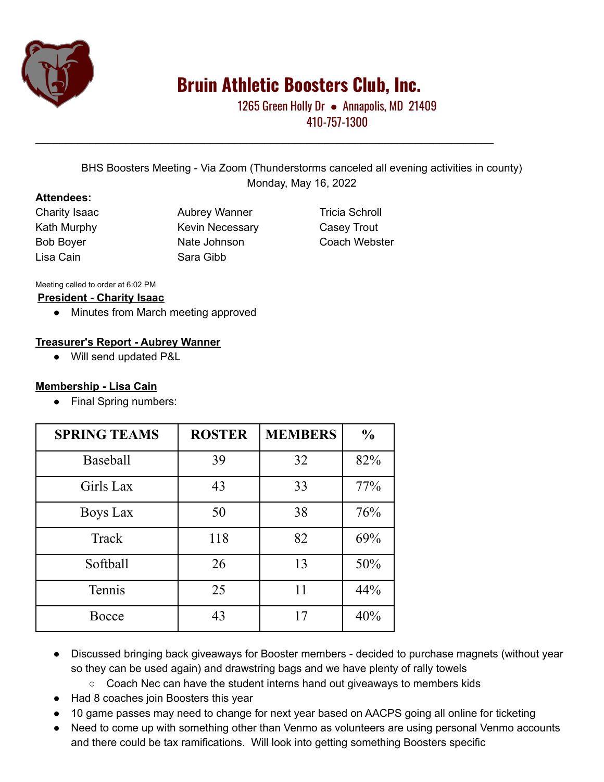

# **Bruin Athletic Boosters Club, Inc.**

1265 Green Holly Dr • Annapolis, MD 21409 410-757-1300

BHS Boosters Meeting - Via Zoom (Thunderstorms canceled all evening activities in county) Monday, May 16, 2022

\_\_\_\_\_\_\_\_\_\_\_\_\_\_\_\_\_\_\_\_\_\_\_\_\_\_\_\_\_\_\_\_\_\_\_\_\_\_\_\_\_\_\_\_\_\_\_\_\_\_\_\_\_\_\_\_\_\_\_\_\_\_\_\_\_\_\_\_\_\_\_\_\_\_\_\_

#### **Attendees:**

Lisa Cain Sara Gibb

Charity Isaac **Aubrey Wanner** Tricia Schroll Kath Murphy **Kevin Necessary** Casey Trout Bob Boyer **Nate Johnson** Coach Webster

#### Meeting called to order at 6:02 PM

#### **President - Charity Isaac**

● Minutes from March meeting approved

#### **Treasurer's Report - Aubrey Wanner**

● Will send updated P&L

#### **Membership - Lisa Cain**

• Final Spring numbers:

| <b>SPRING TEAMS</b> | <b>ROSTER</b> | <b>MEMBERS</b> | $\frac{0}{0}$ |
|---------------------|---------------|----------------|---------------|
| <b>Baseball</b>     | 39            | 32             | 82%           |
| Girls Lax           | 43            | 33             | 77%           |
| Boys Lax            | 50            | 38             | 76%           |
| Track               | 118           | 82             | 69%           |
| Softball            | 26            | 13             | 50%           |
| Tennis              | 25            | 11             | 44%           |
| Bocce               | 43            | 17             | 40%           |

- Discussed bringing back giveaways for Booster members decided to purchase magnets (without year so they can be used again) and drawstring bags and we have plenty of rally towels
	- Coach Nec can have the student interns hand out giveaways to members kids
- Had 8 coaches join Boosters this year
- 10 game passes may need to change for next year based on AACPS going all online for ticketing
- Need to come up with something other than Venmo as volunteers are using personal Venmo accounts and there could be tax ramifications. Will look into getting something Boosters specific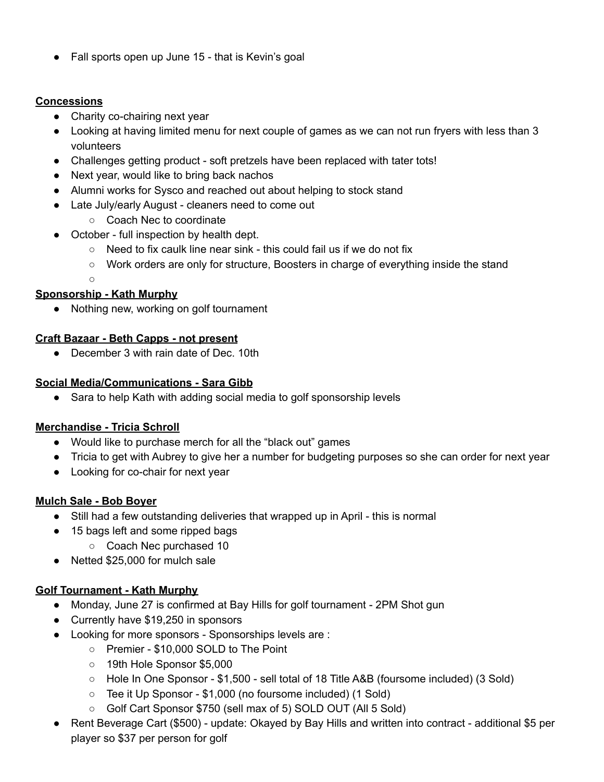Fall sports open up June 15 - that is Kevin's goal

## **Concessions**

- Charity co-chairing next year
- Looking at having limited menu for next couple of games as we can not run fryers with less than 3 volunteers
- Challenges getting product soft pretzels have been replaced with tater tots!
- Next year, would like to bring back nachos
- Alumni works for Sysco and reached out about helping to stock stand
- Late July/early August cleaners need to come out
	- Coach Nec to coordinate
- October full inspection by health dept.
	- Need to fix caulk line near sink this could fail us if we do not fix
	- Work orders are only for structure, Boosters in charge of everything inside the stand
	- $\Omega$

## **Sponsorship - Kath Murphy**

● Nothing new, working on golf tournament

### **Craft Bazaar - Beth Capps - not present**

● December 3 with rain date of Dec. 10th

### **Social Media/Communications - Sara Gibb**

● Sara to help Kath with adding social media to golf sponsorship levels

# **Merchandise - Tricia Schroll**

- Would like to purchase merch for all the "black out" games
- Tricia to get with Aubrey to give her a number for budgeting purposes so she can order for next year
- Looking for co-chair for next year

### **Mulch Sale - Bob Boyer**

- Still had a few outstanding deliveries that wrapped up in April this is normal
- 15 bags left and some ripped bags
	- Coach Nec purchased 10
- Netted \$25,000 for mulch sale

# **Golf Tournament - Kath Murphy**

- Monday, June 27 is confirmed at Bay Hills for golf tournament 2PM Shot gun
- Currently have \$19,250 in sponsors
- Looking for more sponsors Sponsorships levels are :
	- Premier \$10,000 SOLD to The Point
	- 19th Hole Sponsor \$5,000
	- Hole In One Sponsor \$1,500 sell total of 18 Title A&B (foursome included) (3 Sold)
	- Tee it Up Sponsor \$1,000 (no foursome included) (1 Sold)
	- Golf Cart Sponsor \$750 (sell max of 5) SOLD OUT (All 5 Sold)
- Rent Beverage Cart (\$500) update: Okayed by Bay Hills and written into contract additional \$5 per player so \$37 per person for golf